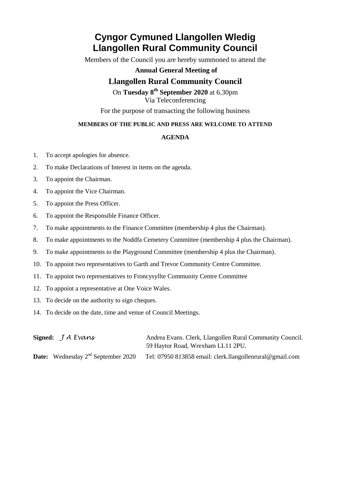# **Cyngor Cymuned Llangollen Wledig Llangollen Rural Community Council**

Members of the Council you are hereby summoned to attend the

### **Annual General Meeting of**

## **Llangollen Rural Community Council**

On **Tuesday 8th September 2020** at 6.30pm Via Teleconferencing

For the purpose of transacting the following business

#### **MEMBERS OF THE PUBLIC AND PRESS ARE WELCOME TO ATTEND**

#### **AGENDA**

- 1. To accept apologies for absence.
- 2. To make Declarations of Interest in items on the agenda.
- 3. To appoint the Chairman.
- 4. To appoint the Vice Chairman.
- 5. To appoint the Press Officer.
- 6. To appoint the Responsible Finance Officer.
- 7. To make appointments to the Finance Committee (membership 4 plus the Chairman).
- 8. To make appointments to the Noddfa Cemetery Committee (membership 4 plus the Chairman).
- 9. To make appointments to the Playground Committee (membership 4 plus the Chairman).
- 10. To appoint two representatives to Garth and Trevor Community Centre Committee.
- 11. To appoint two representatives to Froncysyllte Community Centre Committee
- 12. To appoint a representative at One Voice Wales.
- 13. To decide on the authority to sign cheques.
- 14. To decide on the date, time and venue of Council Meetings.

| Signed: $J A E$ vans                           | Andrea Evans. Clerk, Llangollen Rural Community Council. |
|------------------------------------------------|----------------------------------------------------------|
|                                                | 59 Haytor Road, Wrexham LL11 2PU.                        |
| <b>Date:</b> Wednesday $2^{nd}$ September 2020 | Tel: 07950 813858 email: clerk.llangollenrural@gmail.com |